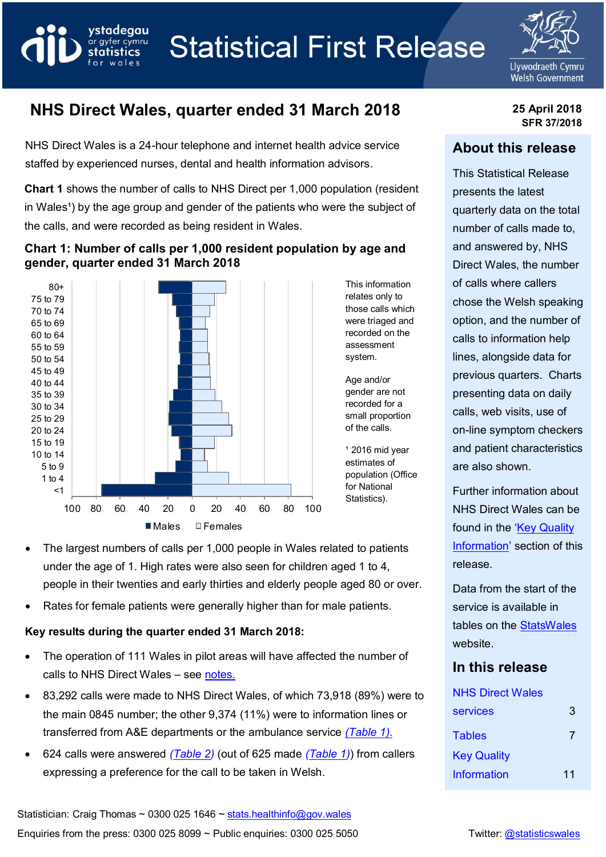



# **NHS Direct Wales, quarter ended 31 March 2018 25 April 2018**

vstadeaau

ar gyfer cymru statistics wales

NHS Direct Wales is a 24-hour telephone and internet health advice service staffed by experienced nurses, dental and health information advisors.

**Chart 1** shows the number of calls to NHS Direct per 1,000 population (resident in Wales<sup>1</sup>) by the age group and gender of the patients who were the subject of the calls, and were recorded as being resident in Wales.

#### **Chart 1: Number of calls per 1,000 resident population by age and gender, quarter ended 31 March 2018**



 The largest numbers of calls per 1,000 people in Wales related to patients under the age of 1. High rates were also seen for children aged 1 to 4, people in their twenties and early thirties and elderly people aged 80 or over.

Rates for female patients were generally higher than for male patients.

## **Key results during the quarter ended 31 March 2018:**

- The operation of 111 Wales in pilot areas will have affected the number of calls to NHS Direct Wales – see [notes.](#page-11-0)
- 83,292 calls were made to NHS Direct Wales, of which 73,918 (89%) were to the main 0845 number; the other 9,374 (11%) were to information lines or transferred from A&E departments or the ambulance service *(Table 1).*
- 624 calls were answered *[\(Table 2\)](#page-7-0)* (out of 625 made *[\(Table 1\)](#page-5-0)*) from callers expressing a preference for the call to be taken in Welsh.

**SFR 37/2018**

### **About this release**

This Statistical Release presents the latest quarterly data on the total number of calls made to, and answered by, NHS Direct Wales, the number of calls where callers chose the Welsh speaking option, and the number of calls to information help lines, alongside data for previous quarters. Charts presenting data on daily calls, web visits, use of on-line symptom checkers and patient characteristics are also shown.

Further information about NHS Direct Wales can be found in the 'Key Quality' [Information](#page-9-0)' section of this release.

Data from the start of the service is available in tables on the [StatsWales](https://statswales.gov.wales/Catalogue/Health-and-Social-Care/NHS-Primary-and-Community-Activity/NHS-Direct-Wales) website.

### **In this release**

| <b>NHS Direct Wales</b> |    |
|-------------------------|----|
| <b>services</b>         | 3  |
| <b>Tables</b>           |    |
| <b>Key Quality</b>      |    |
| <b>Information</b>      | 11 |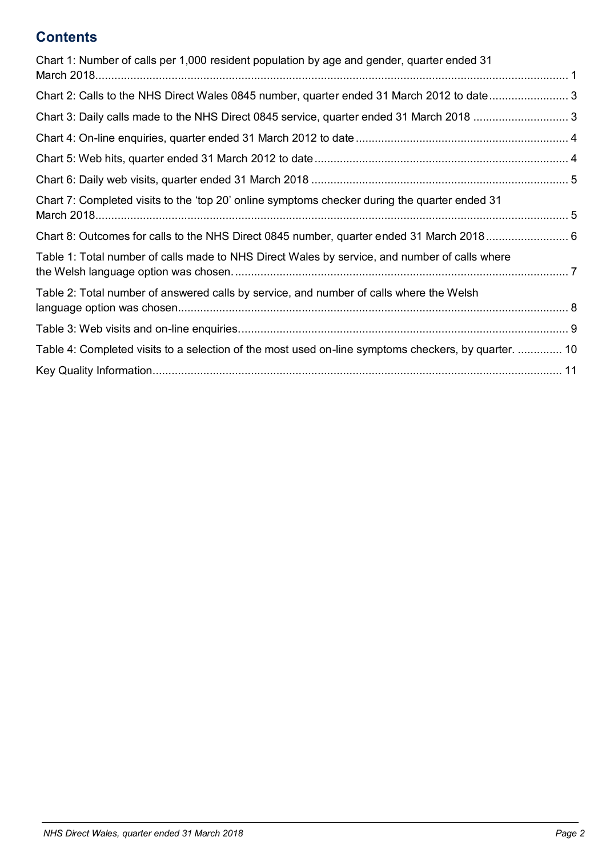# **Contents**

<span id="page-1-0"></span>

| Chart 1: Number of calls per 1,000 resident population by age and gender, quarter ended 31           |  |
|------------------------------------------------------------------------------------------------------|--|
|                                                                                                      |  |
| Chart 2: Calls to the NHS Direct Wales 0845 number, quarter ended 31 March 2012 to date3             |  |
|                                                                                                      |  |
|                                                                                                      |  |
|                                                                                                      |  |
|                                                                                                      |  |
| Chart 7: Completed visits to the 'top 20' online symptoms checker during the quarter ended 31        |  |
|                                                                                                      |  |
| Table 1: Total number of calls made to NHS Direct Wales by service, and number of calls where        |  |
| Table 2: Total number of answered calls by service, and number of calls where the Welsh              |  |
|                                                                                                      |  |
| Table 4: Completed visits to a selection of the most used on-line symptoms checkers, by quarter.  10 |  |
|                                                                                                      |  |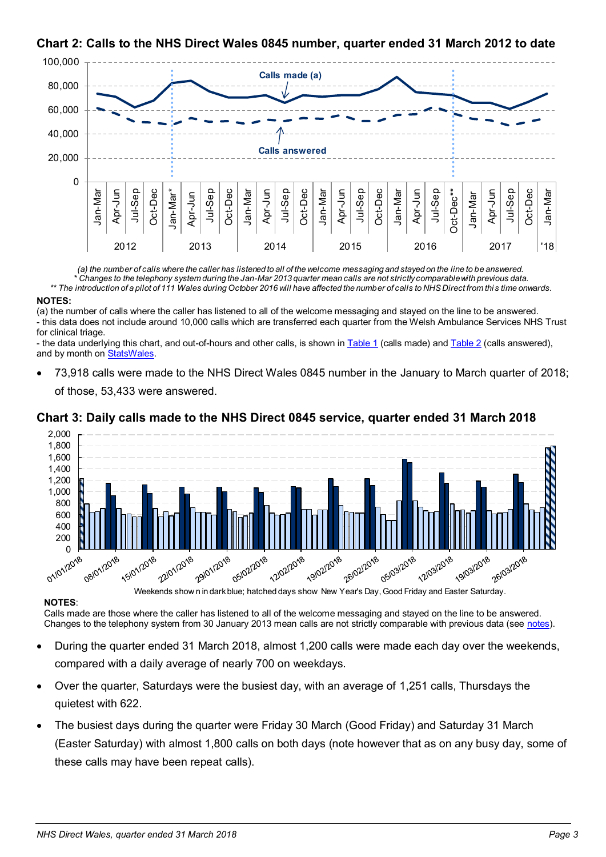

## <span id="page-2-0"></span>**Chart 2: Calls to the NHS Direct Wales 0845 number, quarter ended 31 March 2012 to date**

*(a) the number of calls where the caller has listened to all of the welcome messaging and stayed on the line to be answered. \* Changes to the telephony system during the Jan-Mar 2013 quarter mean calls are not strictly comparable with previous data.*

*\*\* The introduction of a pilot of 111 Wales during October 2016 will have affected the number of calls to NHS Direct from thi s time onwards.*

#### **NOTES:**

(a) the number of calls where the caller has listened to all of the welcome messaging and stayed on the line to be answered. - this data does not include around 10,000 calls which are transferred each quarter from the Welsh Ambulance Services NHS Trust for clinical triage.

- the data underlying this chart, and out-of-hours and other calls, is shown in [Table 1](#page-5-0) (calls made) an[d Table 2](#page-7-0) (calls answered), and by month o[n StatsWales.](https://statswales.gov.wales/Catalogue/Health-and-Social-Care/NHS-Primary-and-Community-Activity/NHS-Direct-Wales/CallsMadeToNHSDirectWales-by-Service-Month)

 73,918 calls were made to the NHS Direct Wales 0845 number in the January to March quarter of 2018; of those, 53,433 were answered.

#### <span id="page-2-1"></span>**Chart 3: Daily calls made to the NHS Direct 0845 service, quarter ended 31 March 2018**



#### **NOTES**:

Calls made are those where the caller has listened to all of the welcome messaging and stayed on the line to be answered. Changes to the telephony system from 30 January 2013 mean calls are not strictly comparable with previous data (see notes).

- During the quarter ended 31 March 2018, almost 1,200 calls were made each day over the weekends, compared with a daily average of nearly 700 on weekdays.
- Over the quarter, Saturdays were the busiest day, with an average of 1,251 calls, Thursdays the quietest with 622.
- The busiest days during the quarter were Friday 30 March (Good Friday) and Saturday 31 March (Easter Saturday) with almost 1,800 calls on both days (note however that as on any busy day, some of these calls may have been repeat calls).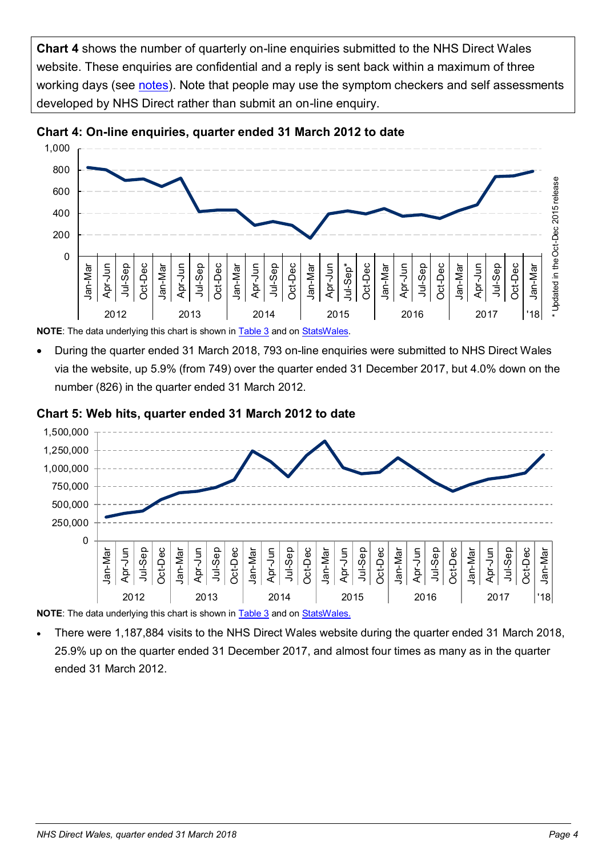**Chart 4** shows the number of quarterly on-line enquiries submitted to the NHS Direct Wales website. These enquiries are confidential and a reply is sent back within a maximum of three working days (see [notes\)](#page-12-0). Note that people may use the symptom checkers and self assessments developed by NHS Direct rather than submit an on-line enquiry.



<span id="page-3-0"></span>

**NOTE**: The data underlying this chart is shown in [Table 3](#page-8-0) and o[n StatsWales.](https://statswales.gov.wales/Catalogue/Health-and-Social-Care/NHS-Primary-and-Community-Activity/NHS-Direct-Wales/WebVisitsAndOnlineEnquiries-by-Quarter)

 During the quarter ended 31 March 2018, 793 on-line enquiries were submitted to NHS Direct Wales via the website, up 5.9% (from 749) over the quarter ended 31 December 2017, but 4.0% down on the number (826) in the quarter ended 31 March 2012.

#### <span id="page-3-1"></span>**Chart 5: Web hits, quarter ended 31 March 2012 to date**



**NOTE**: The data underlying this chart is shown in [Table 3](#page-8-0) and o[n StatsWales.](https://statswales.gov.wales/Catalogue/Health-and-Social-Care/NHS-Primary-and-Community-Activity/NHS-Direct-Wales/WebVisitsAndOnlineEnquiries-by-Quarter)

 There were 1,187,884 visits to the NHS Direct Wales website during the quarter ended 31 March 2018, 25.9% up on the quarter ended 31 December 2017, and almost four times as many as in the quarter ended 31 March 2012.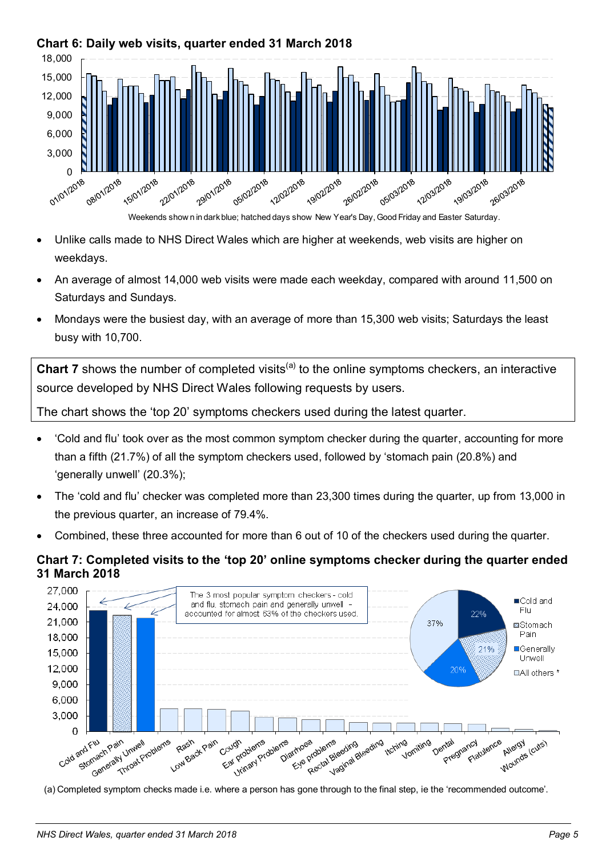

## <span id="page-4-0"></span>**Chart 6: Daily web visits, quarter ended 31 March 2018**

- Unlike calls made to NHS Direct Wales which are higher at weekends, web visits are higher on weekdays.
- An average of almost 14,000 web visits were made each weekday, compared with around 11,500 on Saturdays and Sundays.
- Mondays were the busiest day, with an average of more than 15,300 web visits; Saturdays the least busy with 10,700.

**Chart 7** shows the number of completed visits<sup>(a)</sup> to the online symptoms checkers, an interactive source developed by NHS Direct Wales following requests by users.

The chart shows the 'top 20' symptoms checkers used during the latest quarter.

- 'Cold and flu' took over as the most common symptom checker during the quarter, accounting for more than a fifth (21.7%) of all the symptom checkers used, followed by 'stomach pain (20.8%) and 'generally unwell' (20.3%);
- The 'cold and flu' checker was completed more than 23,300 times during the quarter, up from 13,000 in the previous quarter, an increase of 79.4%.
- Combined, these three accounted for more than 6 out of 10 of the checkers used during the quarter.

### <span id="page-4-1"></span>**Chart 7: Completed visits to the 'top 20' online symptoms checker during the quarter ended 31 March 2018**



(a) Completed symptom checks made i.e. where a person has gone through to the final step, ie the 'recommended outcome'.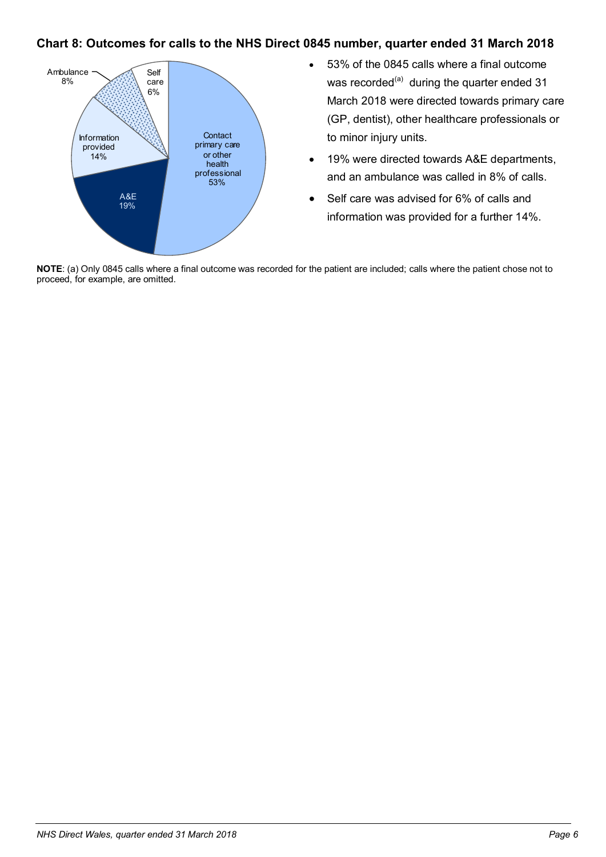#### <span id="page-5-1"></span>**Chart 8: Outcomes for calls to the NHS Direct 0845 number, quarter ended 31 March 2018**



- 53% of the 0845 calls where a final outcome was recorded<sup>(a)</sup> during the quarter ended 31 March 2018 were directed towards primary care (GP, dentist), other healthcare professionals or to minor injury units.
- 19% were directed towards A&E departments, and an ambulance was called in 8% of calls.
- Self care was advised for 6% of calls and information was provided for a further 14%.

<span id="page-5-0"></span>**NOTE**: (a) Only 0845 calls where a final outcome was recorded for the patient are included; calls where the patient chose not to proceed, for example, are omitted.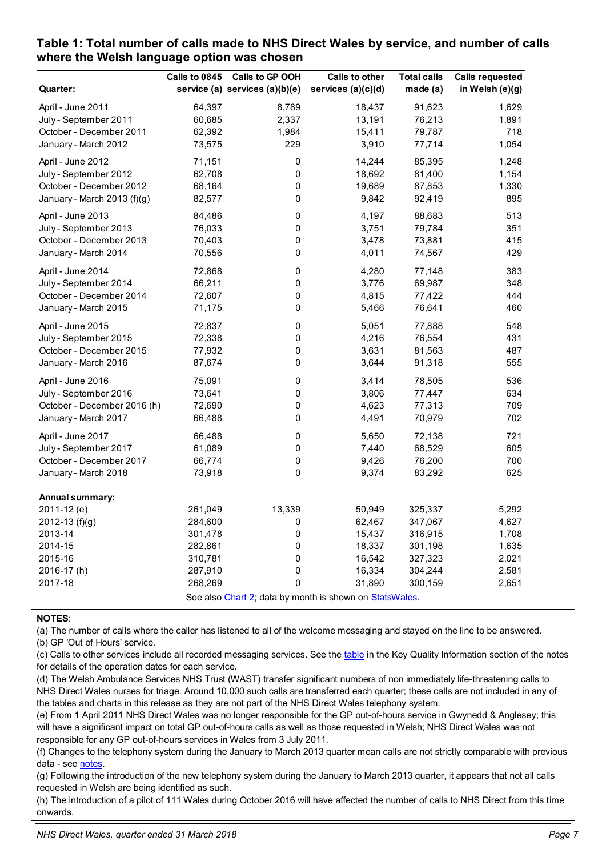|                                                         | Calls to 0845 | Calls to GP OOH                | <b>Calls to other</b> | <b>Total calls</b> | <b>Calls requested</b> |
|---------------------------------------------------------|---------------|--------------------------------|-----------------------|--------------------|------------------------|
| <b>Quarter:</b>                                         |               | service (a) services (a)(b)(e) | services (a)(c)(d)    | made (a)           | in Welsh (e)(g)        |
| April - June 2011                                       | 64,397        | 8,789                          | 18,437                | 91,623             | 1,629                  |
| July - September 2011                                   | 60,685        | 2,337                          | 13,191                | 76,213             | 1,891                  |
| October - December 2011                                 | 62,392        | 1,984                          | 15,411                | 79,787             | 718                    |
| January - March 2012                                    | 73,575        | 229                            | 3,910                 | 77,714             | 1,054                  |
| April - June 2012                                       | 71,151        | 0                              | 14,244                | 85,395             | 1,248                  |
| July - September 2012                                   | 62,708        | 0                              | 18,692                | 81,400             | 1,154                  |
| October - December 2012                                 | 68,164        | 0                              | 19,689                | 87,853             | 1,330                  |
| January - March 2013 (f)(g)                             | 82,577        | 0                              | 9,842                 | 92,419             | 895                    |
| April - June 2013                                       | 84,486        | 0                              | 4,197                 | 88,683             | 513                    |
| July - September 2013                                   | 76,033        | 0                              | 3,751                 | 79,784             | 351                    |
| October - December 2013                                 | 70,403        | 0                              | 3,478                 | 73,881             | 415                    |
| January - March 2014                                    | 70,556        | 0                              | 4,011                 | 74,567             | 429                    |
| April - June 2014                                       | 72,868        | 0                              | 4,280                 | 77,148             | 383                    |
| July - September 2014                                   | 66,211        | 0                              | 3,776                 | 69,987             | 348                    |
| October - December 2014                                 | 72,607        | 0                              | 4,815                 | 77,422             | 444                    |
| January - March 2015                                    | 71,175        | 0                              | 5,466                 | 76,641             | 460                    |
| April - June 2015                                       | 72,837        | $\pmb{0}$                      | 5,051                 | 77,888             | 548                    |
| July - September 2015                                   | 72,338        | 0                              | 4,216                 | 76,554             | 431                    |
| October - December 2015                                 | 77,932        | 0                              | 3,631                 | 81,563             | 487                    |
| January - March 2016                                    | 87,674        | 0                              | 3,644                 | 91,318             | 555                    |
| April - June 2016                                       | 75,091        | 0                              | 3,414                 | 78,505             | 536                    |
| July - September 2016                                   | 73,641        | 0                              | 3,806                 | 77,447             | 634                    |
| October - December 2016 (h)                             | 72,690        | 0                              | 4,623                 | 77,313             | 709                    |
| January - March 2017                                    | 66,488        | 0                              | 4,491                 | 70,979             | 702                    |
| April - June 2017                                       | 66,488        | 0                              | 5,650                 | 72,138             | 721                    |
| July - September 2017                                   | 61,089        | 0                              | 7,440                 | 68,529             | 605                    |
| October - December 2017                                 | 66,774        | 0                              | 9,426                 | 76,200             | 700                    |
| January - March 2018                                    | 73,918        | 0                              | 9,374                 | 83,292             | 625                    |
| Annual summary:                                         |               |                                |                       |                    |                        |
| 2011-12 (e)                                             | 261,049       | 13,339                         | 50,949                | 325,337            | 5,292                  |
| 2012-13 (f)(g)                                          | 284,600       | 0                              | 62,467                | 347,067            | 4,627                  |
| 2013-14                                                 | 301,478       | 0                              | 15,437                | 316,915            | 1,708                  |
| 2014-15                                                 | 282,861       | 0                              | 18,337                | 301,198            | 1,635                  |
| 2015-16                                                 | 310,781       | 0                              | 16,542                | 327,323            | 2,021                  |
| 2016-17(h)                                              | 287,910       | 0                              | 16,334                | 304,244            | 2,581                  |
| 2017-18                                                 | 268,269       | 0                              | 31,890                | 300,159            | 2,651                  |
| See also Chart 2; data by month is shown on StatsWales. |               |                                |                       |                    |                        |

#### <span id="page-6-0"></span>**Table 1: Total number of calls made to NHS Direct Wales by service, and number of calls where the Welsh language option was chosen**

#### **NOTES**:

(a) The number of calls where the caller has listened to all of the welcome messaging and stayed on the line to be answered. (b) GP 'Out of Hours' service.

(c) Calls to other services include all recorded messaging services. See the [table](#page-10-1) in the Key Quality Information section of the notes for details of the operation dates for each service.

(d) The Welsh Ambulance Services NHS Trust (WAST) transfer significant numbers of non immediately life-threatening calls to NHS Direct Wales nurses for triage. Around 10,000 such calls are transferred each quarter; these calls are not included in any of the tables and charts in this release as they are not part of the NHS Direct Wales telephony system.

(e) From 1 April 2011 NHS Direct Wales was no longer responsible for the GP out-of-hours service in Gwynedd & Anglesey; this will have a significant impact on total GP out-of-hours calls as well as those requested in Welsh; NHS Direct Wales was not responsible for any GP out-of-hours services in Wales from 3 July 2011.

(f) Changes to the telephony system during the January to March 2013 quarter mean calls are not strictly comparable with previous data - see notes.

(g) Following the introduction of the new telephony system during the January to March 2013 quarter, it appears that not all calls requested in Welsh are being identified as such.

(h) The introduction of a pilot of 111 Wales during October 2016 will have affected the number of calls to NHS Direct from this time onwards.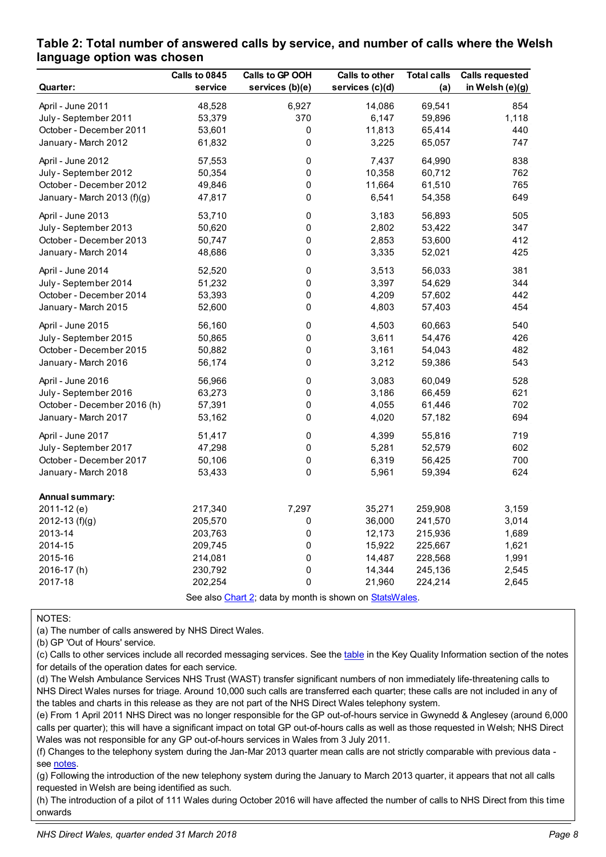|                                                         | Calls to 0845 | Calls to GP OOH | Calls to other  | <b>Total calls</b> | <b>Calls requested</b> |  |
|---------------------------------------------------------|---------------|-----------------|-----------------|--------------------|------------------------|--|
| Quarter:                                                | service       | services (b)(e) | services (c)(d) | (a)                | in Welsh (e)(g)        |  |
| April - June 2011                                       | 48,528        | 6,927           | 14,086          | 69,541             | 854                    |  |
| July - September 2011                                   | 53,379        | 370             | 6,147           | 59,896             | 1,118                  |  |
| October - December 2011                                 | 53,601        | $\pmb{0}$       | 11,813          | 65,414             | 440                    |  |
| January - March 2012                                    | 61,832        | 0               | 3,225           | 65,057             | 747                    |  |
| April - June 2012                                       | 57,553        | 0               | 7,437           | 64,990             | 838                    |  |
| July - September 2012                                   | 50,354        | 0               | 10,358          | 60,712             | 762                    |  |
| October - December 2012                                 | 49,846        | 0               | 11,664          | 61,510             | 765                    |  |
| January - March 2013 (f)(g)                             | 47,817        | 0               | 6,541           | 54,358             | 649                    |  |
| April - June 2013                                       | 53,710        | 0               | 3,183           | 56,893             | 505                    |  |
| July - September 2013                                   | 50,620        | 0               | 2,802           | 53,422             | 347                    |  |
| October - December 2013                                 | 50,747        | 0               | 2,853           | 53,600             | 412                    |  |
| January - March 2014                                    | 48,686        | 0               | 3,335           | 52,021             | 425                    |  |
| April - June 2014                                       | 52,520        | 0               | 3,513           | 56,033             | 381                    |  |
| July - September 2014                                   | 51,232        | 0               | 3,397           | 54,629             | 344                    |  |
| October - December 2014                                 | 53,393        | 0               | 4,209           | 57,602             | 442                    |  |
| January - March 2015                                    | 52,600        | 0               | 4,803           | 57,403             | 454                    |  |
| April - June 2015                                       | 56,160        | 0               | 4,503           | 60,663             | 540                    |  |
| July - September 2015                                   | 50,865        | 0               | 3,611           | 54,476             | 426                    |  |
| October - December 2015                                 | 50,882        | 0               | 3,161           | 54,043             | 482                    |  |
| January - March 2016                                    | 56,174        | 0               | 3,212           | 59,386             | 543                    |  |
| April - June 2016                                       | 56,966        | 0               | 3,083           | 60,049             | 528                    |  |
| July - September 2016                                   | 63,273        | 0               | 3,186           | 66,459             | 621                    |  |
| October - December 2016 (h)                             | 57,391        | 0               | 4,055           | 61,446             | 702                    |  |
| January - March 2017                                    | 53,162        | 0               | 4,020           | 57,182             | 694                    |  |
| April - June 2017                                       | 51,417        | 0               | 4,399           | 55,816             | 719                    |  |
| July - September 2017                                   | 47,298        | 0               | 5,281           | 52,579             | 602                    |  |
| October - December 2017                                 | 50,106        | 0               | 6,319           | 56,425             | 700                    |  |
| January - March 2018                                    | 53,433        | 0               | 5,961           | 59,394             | 624                    |  |
| Annual summary:                                         |               |                 |                 |                    |                        |  |
| 2011-12 (e)                                             | 217,340       | 7,297           | 35,271          | 259,908            | 3,159                  |  |
| 2012-13 (f)(g)                                          | 205,570       | $\Omega$        | 36,000          | 241,570            | 3,014                  |  |
| 2013-14                                                 | 203,763       | 0               | 12,173          | 215,936            | 1,689                  |  |
| 2014-15                                                 | 209,745       | 0               | 15,922          | 225,667            | 1,621                  |  |
| 2015-16                                                 | 214,081       | 0               | 14,487          | 228,568            | 1,991                  |  |
| 2016-17(h)                                              | 230,792       | 0               | 14,344          | 245,136            | 2,545                  |  |
| 2017-18                                                 | 202,254       | 0               | 21,960          | 224,214            | 2,645                  |  |
| See also Chart 2; data by month is shown on StatsWales. |               |                 |                 |                    |                        |  |

#### <span id="page-7-0"></span>**Table 2: Total number of answered calls by service, and number of calls where the Welsh language option was chosen**

NOTES:

(a) The number of calls answered by NHS Direct Wales.

(b) GP 'Out of Hours' service.

(c) Calls to other services include all recorded messaging services. See the [table](#page-10-1) in the Key Quality Information section of the notes for details of the operation dates for each service.

(d) The Welsh Ambulance Services NHS Trust (WAST) transfer significant numbers of non immediately life-threatening calls to NHS Direct Wales nurses for triage. Around 10,000 such calls are transferred each quarter; these calls are not included in any of the tables and charts in this release as they are not part of the NHS Direct Wales telephony system.

(e) From 1 April 2011 NHS Direct was no longer responsible for the GP out-of-hours service in Gwynedd & Anglesey (around 6,000 calls per quarter); this will have a significant impact on total GP out-of-hours calls as well as those requested in Welsh; NHS Direct Wales was not responsible for any GP out-of-hours services in Wales from 3 July 2011.

(f) Changes to the telephony system during the Jan-Mar 2013 quarter mean calls are not strictly comparable with previous data see notes.

(g) Following the introduction of the new telephony system during the January to March 2013 quarter, it appears that not all calls requested in Welsh are being identified as such.

(h) The introduction of a pilot of 111 Wales during October 2016 will have affected the number of calls to NHS Direct from this time onwards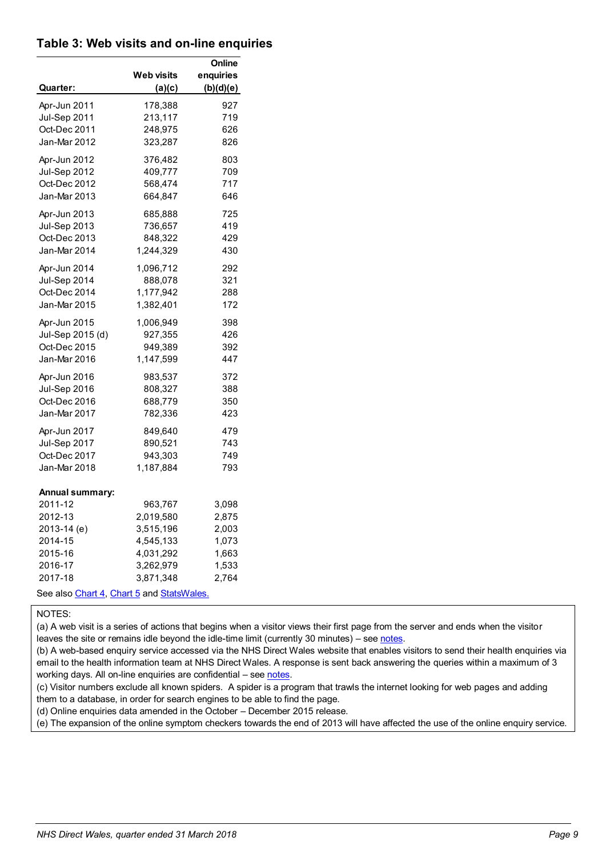#### <span id="page-8-0"></span>**Table 3: Web visits and on-line enquiries**

|                                                       | Web visits | Online<br>enquiries |
|-------------------------------------------------------|------------|---------------------|
| Quarter:                                              | (a)(c)     | (b)(d)(e)           |
| Apr-Jun 2011                                          | 178,388    | 927                 |
| Jul-Sep 2011                                          | 213,117    | 719                 |
| Oct-Dec 2011                                          | 248,975    | 626                 |
| Jan-Mar 2012                                          | 323,287    | 826                 |
| Apr-Jun 2012                                          | 376,482    | 803                 |
| Jul-Sep 2012                                          | 409,777    | 709                 |
| Oct-Dec 2012                                          | 568,474    | 717                 |
| Jan-Mar 2013                                          | 664,847    | 646                 |
| Apr-Jun 2013                                          | 685,888    | 725                 |
| Jul-Sep 2013                                          | 736,657    | 419                 |
| Oct-Dec 2013                                          | 848,322    | 429                 |
| Jan-Mar 2014                                          | 1,244,329  | 430                 |
| Apr-Jun 2014                                          | 1,096,712  | 292                 |
| Jul-Sep 2014                                          | 888,078    | 321                 |
| Oct-Dec 2014                                          | 1,177,942  | 288                 |
| Jan-Mar 2015                                          | 1,382,401  | 172                 |
| Apr-Jun 2015                                          | 1,006,949  | 398                 |
| Jul-Sep 2015 (d)                                      | 927,355    | 426                 |
| Oct-Dec 2015                                          | 949,389    | 392                 |
| Jan-Mar 2016                                          | 1,147,599  | 447                 |
| Apr-Jun 2016                                          | 983,537    | 372                 |
| <b>Jul-Sep 2016</b>                                   | 808,327    | 388                 |
| Oct-Dec 2016                                          | 688,779    | 350                 |
| Jan-Mar 2017                                          | 782,336    | 423                 |
| Apr-Jun 2017                                          | 849,640    | 479                 |
| Jul-Sep 2017                                          | 890,521    | 743                 |
| Oct-Dec 2017                                          | 943,303    | 749                 |
| Jan-Mar 2018                                          | 1,187,884  | 793                 |
| <b>Annual summary:</b>                                |            |                     |
| 2011-12                                               | 963,767    | 3,098               |
| 2012-13                                               | 2,019,580  | 2,875               |
| 2013-14 (e)                                           | 3,515,196  | 2,003               |
| 2014-15                                               | 4,545,133  | 1,073               |
| 2015-16                                               | 4,031,292  | 1,663               |
| 2016-17                                               | 3,262,979  | 1,533               |
| 2017-18<br>See also Chart 4, Chart 5 and Stats Wales. | 3,871,348  | 2,764               |

NOTES:

(a) A web visit is a series of actions that begins when a visitor views their first page from the server and ends when the visitor leaves the site or remains idle beyond the idle-time limit (currently 30 minutes) – se[e notes.](#page-11-1)

(b) A web-based enquiry service accessed via the NHS Direct Wales website that enables visitors to send their health enquiries via email to the health information team at NHS Direct Wales. A response is sent back answering the queries within a maximum of 3 working days. All on-line enquiries are confidential - se[e notes.](#page-12-0)

(c) Visitor numbers exclude all known spiders. A spider is a program that trawls the internet looking for web pages and adding them to a database, in order for search engines to be able to find the page.

(d) Online enquiries data amended in the October – December 2015 release.

(e) The expansion of the online symptom checkers towards the end of 2013 will have affected the use of the online enquiry service.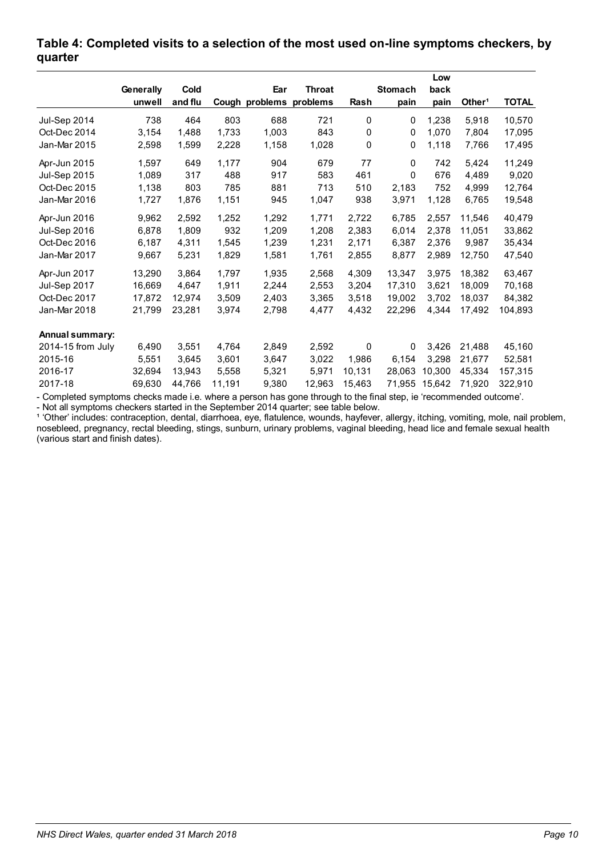|                     |           |         |        |                         |               |        |                | Low    |                    |              |
|---------------------|-----------|---------|--------|-------------------------|---------------|--------|----------------|--------|--------------------|--------------|
|                     | Generally | Cold    |        | Ear                     | <b>Throat</b> |        | <b>Stomach</b> | back   |                    |              |
|                     | unwell    | and flu |        | Cough problems problems |               | Rash   | pain           | pain   | Other <sup>1</sup> | <b>TOTAL</b> |
| <b>Jul-Sep 2014</b> | 738       | 464     | 803    | 688                     | 721           | 0      | 0              | 1,238  | 5,918              | 10,570       |
| Oct-Dec 2014        | 3,154     | 1,488   | 1,733  | 1,003                   | 843           | 0      | 0              | 1,070  | 7,804              | 17,095       |
| Jan-Mar 2015        | 2,598     | 1,599   | 2,228  | 1,158                   | 1,028         | 0      | 0              | 1,118  | 7,766              | 17,495       |
| Apr-Jun 2015        | 1,597     | 649     | 1,177  | 904                     | 679           | 77     | $\mathbf 0$    | 742    | 5,424              | 11,249       |
| <b>Jul-Sep 2015</b> | 1,089     | 317     | 488    | 917                     | 583           | 461    | 0              | 676    | 4,489              | 9,020        |
| Oct-Dec 2015        | 1,138     | 803     | 785    | 881                     | 713           | 510    | 2,183          | 752    | 4,999              | 12,764       |
| Jan-Mar 2016        | 1,727     | 1,876   | 1,151  | 945                     | 1,047         | 938    | 3,971          | 1,128  | 6,765              | 19,548       |
| Apr-Jun 2016        | 9,962     | 2,592   | 1,252  | 1,292                   | 1,771         | 2,722  | 6,785          | 2,557  | 11,546             | 40,479       |
| <b>Jul-Sep 2016</b> | 6,878     | 1,809   | 932    | 1,209                   | 1,208         | 2,383  | 6,014          | 2,378  | 11,051             | 33,862       |
| Oct-Dec 2016        | 6,187     | 4,311   | 1,545  | 1,239                   | 1,231         | 2,171  | 6,387          | 2,376  | 9,987              | 35,434       |
| Jan-Mar 2017        | 9,667     | 5,231   | 1,829  | 1,581                   | 1,761         | 2,855  | 8,877          | 2,989  | 12,750             | 47,540       |
| Apr-Jun 2017        | 13,290    | 3,864   | 1,797  | 1,935                   | 2,568         | 4,309  | 13,347         | 3,975  | 18,382             | 63,467       |
| Jul-Sep 2017        | 16.669    | 4,647   | 1,911  | 2,244                   | 2,553         | 3,204  | 17,310         | 3,621  | 18.009             | 70,168       |
| Oct-Dec 2017        | 17,872    | 12,974  | 3,509  | 2,403                   | 3,365         | 3,518  | 19,002         | 3,702  | 18,037             | 84,382       |
| Jan-Mar 2018        | 21,799    | 23,281  | 3,974  | 2,798                   | 4,477         | 4,432  | 22,296         | 4,344  | 17,492             | 104,893      |
| Annual summary:     |           |         |        |                         |               |        |                |        |                    |              |
| 2014-15 from July   | 6,490     | 3,551   | 4,764  | 2,849                   | 2,592         | 0      | 0              | 3,426  | 21,488             | 45,160       |
| 2015-16             | 5,551     | 3,645   | 3,601  | 3,647                   | 3,022         | 1,986  | 6,154          | 3,298  | 21,677             | 52,581       |
| 2016-17             | 32,694    | 13,943  | 5,558  | 5,321                   | 5,971         | 10.131 | 28.063         | 10.300 | 45.334             | 157,315      |
| 2017-18             | 69,630    | 44,766  | 11,191 | 9,380                   | 12,963        | 15,463 | 71,955         | 15,642 | 71,920             | 322,910      |

#### <span id="page-9-1"></span>**Table 4: Completed visits to a selection of the most used on-line symptoms checkers, by quarter**

- Completed symptoms checks made i.e. where a person has gone through to the final step, ie 'recommended outcome'.

- Not all symptoms checkers started in the September 2014 quarter; see table below.

<span id="page-9-0"></span><sup>1</sup> 'Other' includes: contraception, dental, diarrhoea, eye, flatulence, wounds, hayfever, allergy, itching, vomiting, mole, nail problem, nosebleed, pregnancy, rectal bleeding, stings, sunburn, urinary problems, vaginal bleeding, head lice and female sexual health (various start and finish dates).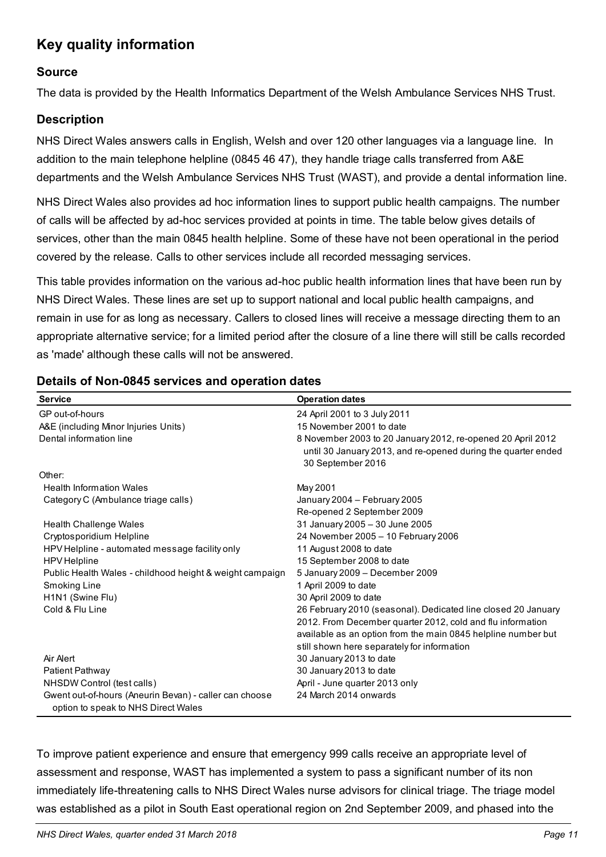# <span id="page-10-0"></span>**Key quality information**

#### **Source**

The data is provided by the Health Informatics Department of the Welsh Ambulance Services NHS Trust.

### **Description**

NHS Direct Wales answers calls in English, Welsh and over 120 other languages via a language line. In addition to the main telephone helpline (0845 46 47), they handle triage calls transferred from A&E departments and the Welsh Ambulance Services NHS Trust (WAST), and provide a dental information line.

NHS Direct Wales also provides ad hoc information lines to support public health campaigns. The number of calls will be affected by ad-hoc services provided at points in time. The table below gives details of services, other than the main 0845 health helpline. Some of these have not been operational in the period covered by the release. Calls to other services include all recorded messaging services.

This table provides information on the various ad-hoc public health information lines that have been run by NHS Direct Wales. These lines are set up to support national and local public health campaigns, and remain in use for as long as necessary. Callers to closed lines will receive a message directing them to an appropriate alternative service; for a limited period after the closure of a line there will still be calls recorded as 'made' although these calls will not be answered.

| <b>Service</b>                                                                                | <b>Operation dates</b>                                        |
|-----------------------------------------------------------------------------------------------|---------------------------------------------------------------|
| GP out-of-hours                                                                               | 24 April 2001 to 3 July 2011                                  |
| A&E (including Minor Injuries Units)                                                          | 15 November 2001 to date                                      |
| Dental information line                                                                       | 8 November 2003 to 20 January 2012, re-opened 20 April 2012   |
|                                                                                               | until 30 January 2013, and re-opened during the quarter ended |
|                                                                                               | 30 September 2016                                             |
| Other:                                                                                        |                                                               |
| <b>Health Information Wales</b>                                                               | May 2001                                                      |
| Category C (Ambulance triage calls)                                                           | January 2004 - February 2005                                  |
|                                                                                               | Re-opened 2 September 2009                                    |
| <b>Health Challenge Wales</b>                                                                 | 31 January 2005 - 30 June 2005                                |
| Cryptosporidium Helpline                                                                      | 24 November 2005 - 10 February 2006                           |
| HPV Helpline - automated message facility only                                                | 11 August 2008 to date                                        |
| <b>HPV</b> Helpline                                                                           | 15 September 2008 to date                                     |
| Public Health Wales - childhood height & weight campaign                                      | 5 January 2009 - December 2009                                |
| Smoking Line                                                                                  | 1 April 2009 to date                                          |
| H <sub>1</sub> N <sub>1</sub> (Swine Flu)                                                     | 30 April 2009 to date                                         |
| Cold & Flu Line                                                                               | 26 February 2010 (seasonal). Dedicated line closed 20 January |
|                                                                                               | 2012. From December quarter 2012, cold and flu information    |
|                                                                                               | available as an option from the main 0845 helpline number but |
|                                                                                               | still shown here separately for information                   |
| Air Alert                                                                                     | 30 January 2013 to date                                       |
| Patient Pathway                                                                               | 30 January 2013 to date                                       |
| NHSDW Control (test calls)                                                                    | April - June quarter 2013 only                                |
| Gwent out-of-hours (Aneurin Bevan) - caller can choose<br>option to speak to NHS Direct Wales | 24 March 2014 onwards                                         |

#### <span id="page-10-1"></span>**Details of Non-0845 services and operation dates**

To improve patient experience and ensure that emergency 999 calls receive an appropriate level of assessment and response, WAST has implemented a system to pass a significant number of its non immediately life-threatening calls to NHS Direct Wales nurse advisors for clinical triage. The triage model was established as a pilot in South East operational region on 2nd September 2009, and phased into the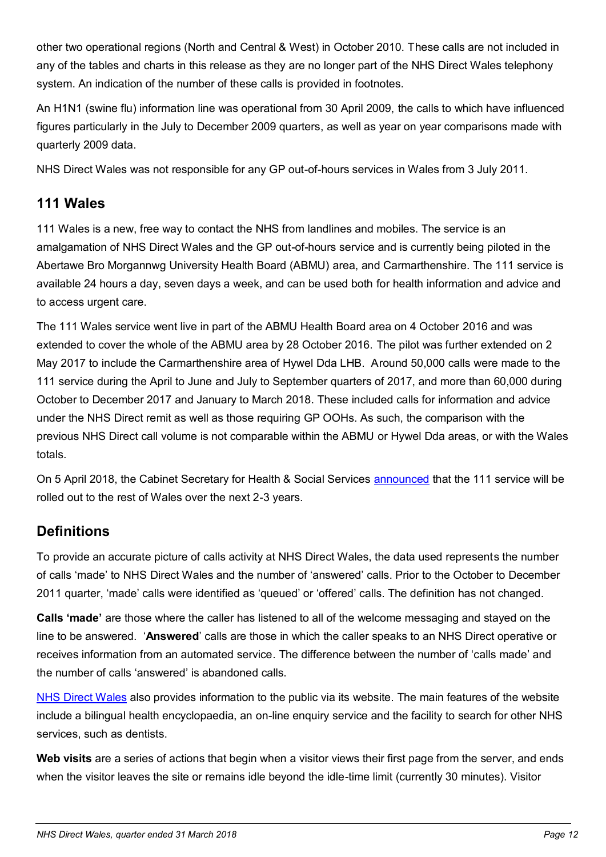other two operational regions (North and Central & West) in October 2010. These calls are not included in any of the tables and charts in this release as they are no longer part of the NHS Direct Wales telephony system. An indication of the number of these calls is provided in footnotes.

An H1N1 (swine flu) information line was operational from 30 April 2009, the calls to which have influenced figures particularly in the July to December 2009 quarters, as well as year on year comparisons made with quarterly 2009 data.

NHS Direct Wales was not responsible for any GP out-of-hours services in Wales from 3 July 2011.

## <span id="page-11-0"></span>**111 Wales**

111 Wales is a new, free way to contact the NHS from landlines and mobiles. The service is an amalgamation of NHS Direct Wales and the GP out-of-hours service and is currently being piloted in the Abertawe Bro Morgannwg University Health Board (ABMU) area, and Carmarthenshire. The 111 service is available 24 hours a day, seven days a week, and can be used both for health information and advice and to access urgent care.

The 111 Wales service went live in part of the ABMU Health Board area on 4 October 2016 and was extended to cover the whole of the ABMU area by 28 October 2016. The pilot was further extended on 2 May 2017 to include the Carmarthenshire area of Hywel Dda LHB. Around 50,000 calls were made to the 111 service during the April to June and July to September quarters of 2017, and more than 60,000 during October to December 2017 and January to March 2018. These included calls for information and advice under the NHS Direct remit as well as those requiring GP OOHs. As such, the comparison with the previous NHS Direct call volume is not comparable within the ABMU or Hywel Dda areas, or with the Wales totals.

On 5 April 2018, the Cabinet Secretary for Health & Social Services [announced](http://gov.wales/about/cabinet/cabinetstatements/2018/pathfinder/?lang=en) that the 111 service will be rolled out to the rest of Wales over the next 2-3 years.

## **Definitions**

To provide an accurate picture of calls activity at NHS Direct Wales, the data used represents the number of calls 'made' to NHS Direct Wales and the number of 'answered' calls. Prior to the October to December 2011 quarter, 'made' calls were identified as 'queued' or 'offered' calls. The definition has not changed.

**Calls 'made'** are those where the caller has listened to all of the welcome messaging and stayed on the line to be answered. '**Answered**' calls are those in which the caller speaks to an NHS Direct operative or receives information from an automated service. The difference between the number of 'calls made' and the number of calls 'answered' is abandoned calls.

[NHS Direct Wales](http://www.nhsdirect.wales.nhs.uk/) also provides information to the public via its website. The main features of the website include a bilingual health encyclopaedia, an on-line enquiry service and the facility to search for other NHS services, such as dentists.

<span id="page-11-1"></span>**Web visits** are a series of actions that begin when a visitor views their first page from the server, and ends when the visitor leaves the site or remains idle beyond the idle-time limit (currently 30 minutes). Visitor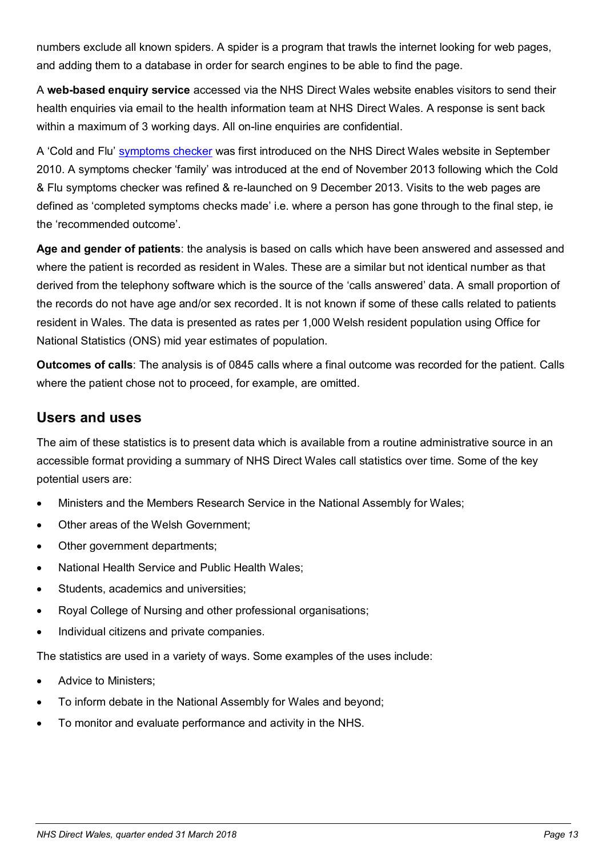numbers exclude all known spiders. A spider is a program that trawls the internet looking for web pages, and adding them to a database in order for search engines to be able to find the page.

<span id="page-12-0"></span>A **web-based enquiry service** accessed via the NHS Direct Wales website enables visitors to send their health enquiries via email to the health information team at NHS Direct Wales. A response is sent back within a maximum of 3 working days. All on-line enquiries are confidential.

A 'Cold and Flu' [symptoms checker](http://www.nhsdirect.wales.nhs.uk/selfassessments/) was first introduced on the NHS Direct Wales website in September 2010. A symptoms checker 'family' was introduced at the end of November 2013 following which the Cold & Flu symptoms checker was refined & re-launched on 9 December 2013. Visits to the web pages are defined as 'completed symptoms checks made' i.e. where a person has gone through to the final step, ie the 'recommended outcome'.

**Age and gender of patients**: the analysis is based on calls which have been answered and assessed and where the patient is recorded as resident in Wales. These are a similar but not identical number as that derived from the telephony software which is the source of the 'calls answered' data. A small proportion of the records do not have age and/or sex recorded. It is not known if some of these calls related to patients resident in Wales. The data is presented as rates per 1,000 Welsh resident population using Office for National Statistics (ONS) mid year estimates of population.

**Outcomes of calls**: The analysis is of 0845 calls where a final outcome was recorded for the patient. Calls where the patient chose not to proceed, for example, are omitted.

### **Users and uses**

The aim of these statistics is to present data which is available from a routine administrative source in an accessible format providing a summary of NHS Direct Wales call statistics over time. Some of the key potential users are:

- Ministers and the Members Research Service in the National Assembly for Wales;
- Other areas of the Welsh Government;
- Other government departments;
- National Health Service and Public Health Wales;
- Students, academics and universities;
- Royal College of Nursing and other professional organisations;
- Individual citizens and private companies.

The statistics are used in a variety of ways. Some examples of the uses include:

- Advice to Ministers;
- To inform debate in the National Assembly for Wales and beyond;
- To monitor and evaluate performance and activity in the NHS.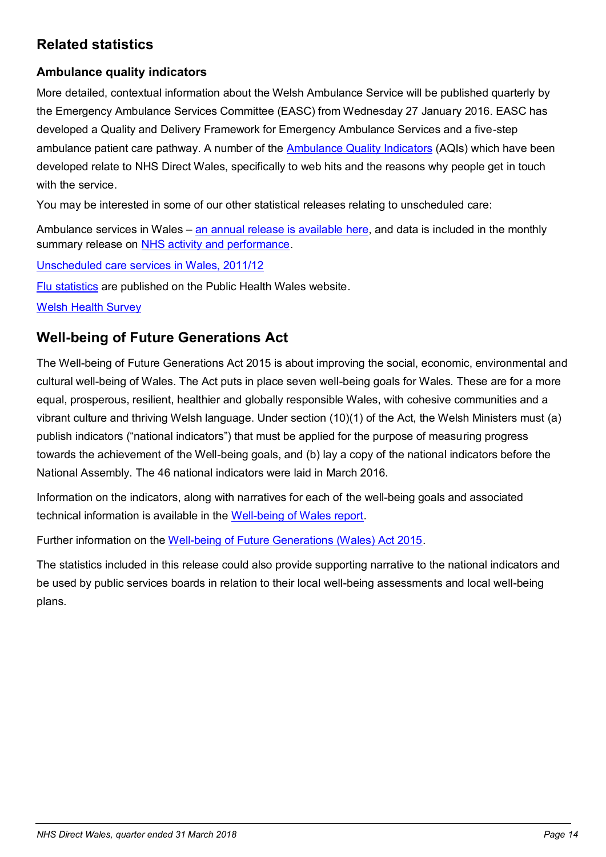## **Related statistics**

### **Ambulance quality indicators**

More detailed, contextual information about the Welsh Ambulance Service will be published quarterly by the Emergency Ambulance Services Committee (EASC) from Wednesday 27 January 2016. EASC has developed a Quality and Delivery Framework for Emergency Ambulance Services and a five-step ambulance patient care pathway. A number of the [Ambulance Quality Indicators](http://www.wales.nhs.uk/easc/ambulance-quality-indicators) (AQIs) which have been developed relate to NHS Direct Wales, specifically to web hits and the reasons why people get in touch with the service.

You may be interested in some of our other statistical releases relating to unscheduled care:

Ambulance services in Wales – [an annual release is available here,](http://gov.wales/statistics-and-research/ambulance-services/?lang=en) and data is included in the monthly summary release on [NHS activity and performance.](http://gov.wales/statistics-and-research/nhs-activity-performance-summary/?lang=en)

[Unscheduled care services in Wales, 2011/12](http://gov.wales/statistics-and-research/unscheduled-care-services/?lang=en)

[Flu statistics](http://www.wales.nhs.uk/sites3/page.cfm?orgId=457&pid=27522) are published on the Public Health Wales website.

[Welsh Health Survey](http://gov.wales/statistics-and-research/welsh-health-survey/?lang=en)

## **Well-being of Future Generations Act**

The Well-being of Future Generations Act 2015 is about improving the social, economic, environmental and cultural well-being of Wales. The Act puts in place seven well-being goals for Wales. These are for a more equal, prosperous, resilient, healthier and globally responsible Wales, with cohesive communities and a vibrant culture and thriving Welsh language. Under section (10)(1) of the Act, the Welsh Ministers must (a) publish indicators ("national indicators") that must be applied for the purpose of measuring progress towards the achievement of the Well-being goals, and (b) lay a copy of the national indicators before the National Assembly. The 46 national indicators were laid in March 2016.

Information on the indicators, along with narratives for each of the well-being goals and associated technical information is available in the [Well-being of Wales report.](http://gov.wales/statistics-and-research/well-being-wales/?lang=en)

Further information on the [Well-being of Future Generations \(Wales\) Act 2015.](http://gov.wales/topics/people-and-communities/people/future-generations-act)

The statistics included in this release could also provide supporting narrative to the national indicators and be used by public services boards in relation to their local well-being assessments and local well-being plans.